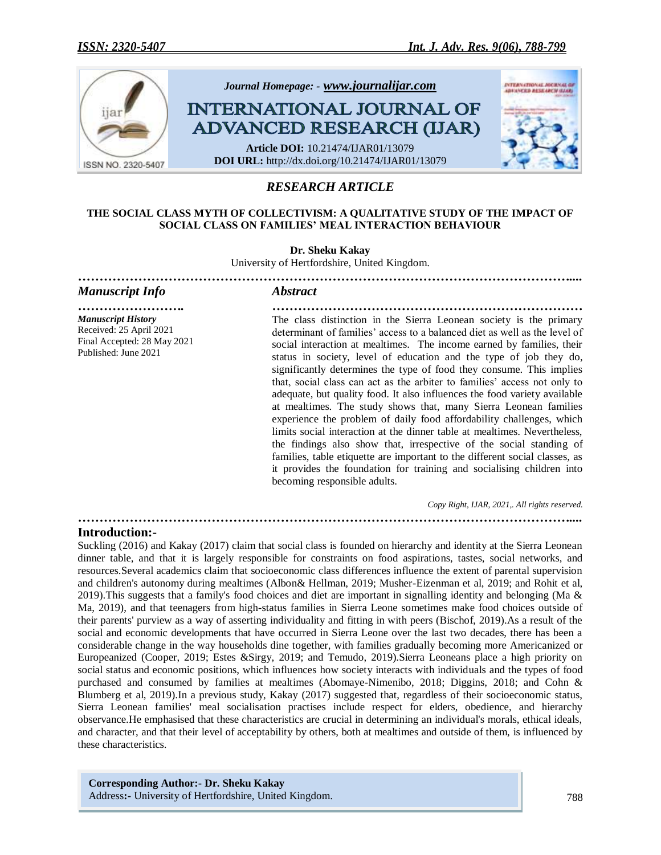

# *RESEARCH ARTICLE*

# **THE SOCIAL CLASS MYTH OF COLLECTIVISM: A QUALITATIVE STUDY OF THE IMPACT OF SOCIAL CLASS ON FAMILIES' MEAL INTERACTION BEHAVIOUR**

**Dr. Sheku Kakay**

University of Hertfordshire, United Kingdom.

| <b>Manuscript Info</b>                                                                                      | <b>Abstract</b>                                                                                                                                                                                                                                                                                                                                                                                                                                                                                                                                                                                                                                                                                                                                                                                                                                                                                                                                                                                                           |
|-------------------------------------------------------------------------------------------------------------|---------------------------------------------------------------------------------------------------------------------------------------------------------------------------------------------------------------------------------------------------------------------------------------------------------------------------------------------------------------------------------------------------------------------------------------------------------------------------------------------------------------------------------------------------------------------------------------------------------------------------------------------------------------------------------------------------------------------------------------------------------------------------------------------------------------------------------------------------------------------------------------------------------------------------------------------------------------------------------------------------------------------------|
| <b>Manuscript History</b><br>Received: 25 April 2021<br>Final Accepted: 28 May 2021<br>Published: June 2021 | The class distinction in the Sierra Leonean society is the primary<br>determinant of families' access to a balanced diet as well as the level of<br>social interaction at mealtimes. The income earned by families, their<br>status in society, level of education and the type of job they do,<br>significantly determines the type of food they consume. This implies<br>that, social class can act as the arbiter to families' access not only to<br>adequate, but quality food. It also influences the food variety available<br>at mealtimes. The study shows that, many Sierra Leonean families<br>experience the problem of daily food affordability challenges, which<br>limits social interaction at the dinner table at mealtimes. Nevertheless,<br>the findings also show that, irrespective of the social standing of<br>families, table etiquette are important to the different social classes, as<br>it provides the foundation for training and socialising children into<br>becoming responsible adults. |
|                                                                                                             | Copy Right, IJAR, 2021,. All rights reserved.                                                                                                                                                                                                                                                                                                                                                                                                                                                                                                                                                                                                                                                                                                                                                                                                                                                                                                                                                                             |

*……………………………………………………………………………………………………....*

**Introduction:-**

Suckling (2016) and Kakay (2017) claim that social class is founded on hierarchy and identity at the Sierra Leonean dinner table, and that it is largely responsible for constraints on food aspirations, tastes, social networks, and resources.Several academics claim that socioeconomic class differences influence the extent of parental supervision and children's autonomy during mealtimes (Albon& Hellman, 2019; Musher-Eizenman et al, 2019; and Rohit et al, 2019). This suggests that a family's food choices and diet are important in signalling identity and belonging (Ma  $\&$ Ma, 2019), and that teenagers from high-status families in Sierra Leone sometimes make food choices outside of their parents' purview as a way of asserting individuality and fitting in with peers (Bischof, 2019).As a result of the social and economic developments that have occurred in Sierra Leone over the last two decades, there has been a considerable change in the way households dine together, with families gradually becoming more Americanized or Europeanized (Cooper, 2019; Estes &Sirgy, 2019; and Temudo, 2019).Sierra Leoneans place a high priority on social status and economic positions, which influences how society interacts with individuals and the types of food purchased and consumed by families at mealtimes (Abomaye-Nimenibo, 2018; Diggins, 2018; and Cohn & Blumberg et al, 2019).In a previous study, Kakay (2017) suggested that, regardless of their socioeconomic status, Sierra Leonean families' meal socialisation practises include respect for elders, obedience, and hierarchy observance.He emphasised that these characteristics are crucial in determining an individual's morals, ethical ideals, and character, and that their level of acceptability by others, both at mealtimes and outside of them, is influenced by these characteristics.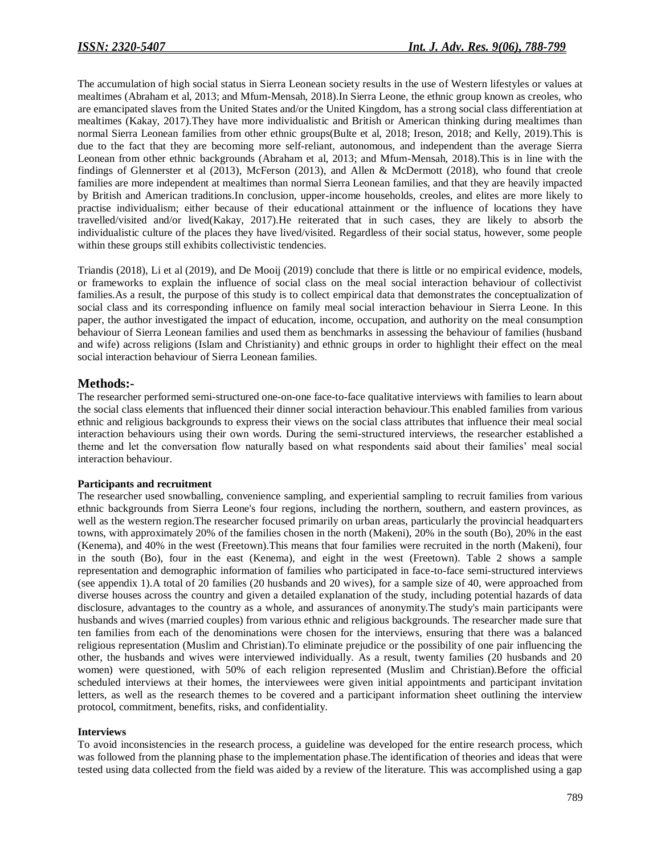The accumulation of high social status in Sierra Leonean society results in the use of Western lifestyles or values at mealtimes (Abraham et al, 2013; and Mfum-Mensah, 2018).In Sierra Leone, the ethnic group known as creoles, who are emancipated slaves from the United States and/or the United Kingdom, has a strong social class differentiation at mealtimes (Kakay, 2017).They have more individualistic and British or American thinking during mealtimes than normal Sierra Leonean families from other ethnic groups(Bulte et al, 2018; Ireson, 2018; and Kelly, 2019).This is due to the fact that they are becoming more self-reliant, autonomous, and independent than the average Sierra Leonean from other ethnic backgrounds (Abraham et al, 2013; and Mfum-Mensah, 2018).This is in line with the findings of Glennerster et al (2013), McFerson (2013), and Allen & McDermott (2018), who found that creole families are more independent at mealtimes than normal Sierra Leonean families, and that they are heavily impacted by British and American traditions.In conclusion, upper-income households, creoles, and elites are more likely to practise individualism; either because of their educational attainment or the influence of locations they have travelled/visited and/or lived(Kakay, 2017).He reiterated that in such cases, they are likely to absorb the individualistic culture of the places they have lived/visited. Regardless of their social status, however, some people within these groups still exhibits collectivistic tendencies.

Triandis (2018), Li et al (2019), and De Mooij (2019) conclude that there is little or no empirical evidence, models, or frameworks to explain the influence of social class on the meal social interaction behaviour of collectivist families.As a result, the purpose of this study is to collect empirical data that demonstrates the conceptualization of social class and its corresponding influence on family meal social interaction behaviour in Sierra Leone. In this paper, the author investigated the impact of education, income, occupation, and authority on the meal consumption behaviour of Sierra Leonean families and used them as benchmarks in assessing the behaviour of families (husband and wife) across religions (Islam and Christianity) and ethnic groups in order to highlight their effect on the meal social interaction behaviour of Sierra Leonean families.

# **Methods:-**

The researcher performed semi-structured one-on-one face-to-face qualitative interviews with families to learn about the social class elements that influenced their dinner social interaction behaviour.This enabled families from various ethnic and religious backgrounds to express their views on the social class attributes that influence their meal social interaction behaviours using their own words. During the semi-structured interviews, the researcher established a theme and let the conversation flow naturally based on what respondents said about their families' meal social interaction behaviour.

# **Participants and recruitment**

The researcher used snowballing, convenience sampling, and experiential sampling to recruit families from various ethnic backgrounds from Sierra Leone's four regions, including the northern, southern, and eastern provinces, as well as the western region.The researcher focused primarily on urban areas, particularly the provincial headquarters towns, with approximately 20% of the families chosen in the north (Makeni), 20% in the south (Bo), 20% in the east (Kenema), and 40% in the west (Freetown).This means that four families were recruited in the north (Makeni), four in the south (Bo), four in the east (Kenema), and eight in the west (Freetown). Table 2 shows a sample representation and demographic information of families who participated in face-to-face semi-structured interviews (see appendix 1).A total of 20 families (20 husbands and 20 wives), for a sample size of 40, were approached from diverse houses across the country and given a detailed explanation of the study, including potential hazards of data disclosure, advantages to the country as a whole, and assurances of anonymity.The study's main participants were husbands and wives (married couples) from various ethnic and religious backgrounds. The researcher made sure that ten families from each of the denominations were chosen for the interviews, ensuring that there was a balanced religious representation (Muslim and Christian).To eliminate prejudice or the possibility of one pair influencing the other, the husbands and wives were interviewed individually. As a result, twenty families (20 husbands and 20 women) were questioned, with 50% of each religion represented (Muslim and Christian).Before the official scheduled interviews at their homes, the interviewees were given initial appointments and participant invitation letters, as well as the research themes to be covered and a participant information sheet outlining the interview protocol, commitment, benefits, risks, and confidentiality.

# **Interviews**

To avoid inconsistencies in the research process, a guideline was developed for the entire research process, which was followed from the planning phase to the implementation phase.The identification of theories and ideas that were tested using data collected from the field was aided by a review of the literature. This was accomplished using a gap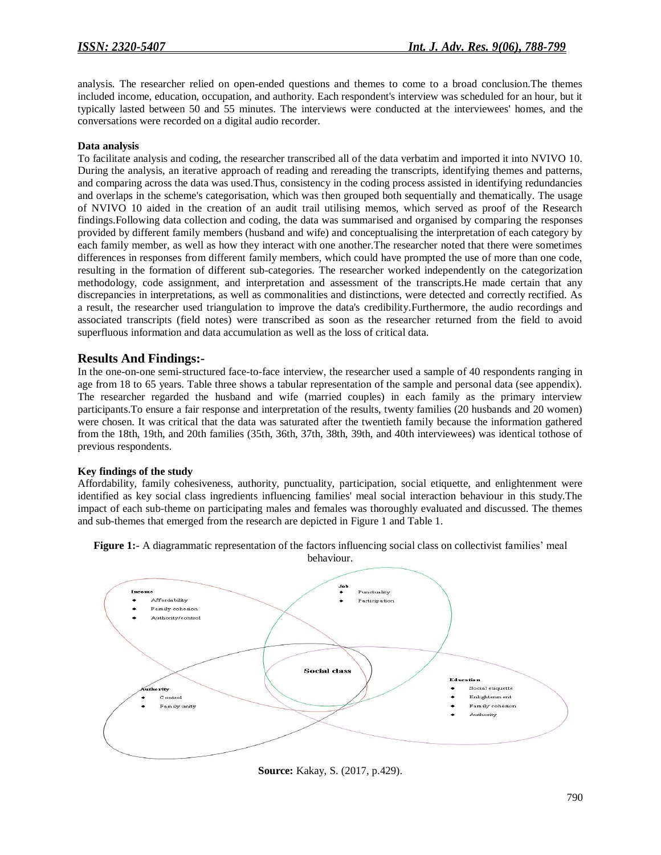analysis. The researcher relied on open-ended questions and themes to come to a broad conclusion.The themes included income, education, occupation, and authority. Each respondent's interview was scheduled for an hour, but it typically lasted between 50 and 55 minutes. The interviews were conducted at the interviewees' homes, and the conversations were recorded on a digital audio recorder.

### **Data analysis**

To facilitate analysis and coding, the researcher transcribed all of the data verbatim and imported it into NVIVO 10. During the analysis, an iterative approach of reading and rereading the transcripts, identifying themes and patterns, and comparing across the data was used.Thus, consistency in the coding process assisted in identifying redundancies and overlaps in the scheme's categorisation, which was then grouped both sequentially and thematically. The usage of NVIVO 10 aided in the creation of an audit trail utilising memos, which served as proof of the Research findings.Following data collection and coding, the data was summarised and organised by comparing the responses provided by different family members (husband and wife) and conceptualising the interpretation of each category by each family member, as well as how they interact with one another.The researcher noted that there were sometimes differences in responses from different family members, which could have prompted the use of more than one code, resulting in the formation of different sub-categories. The researcher worked independently on the categorization methodology, code assignment, and interpretation and assessment of the transcripts.He made certain that any discrepancies in interpretations, as well as commonalities and distinctions, were detected and correctly rectified. As a result, the researcher used triangulation to improve the data's credibility.Furthermore, the audio recordings and associated transcripts (field notes) were transcribed as soon as the researcher returned from the field to avoid superfluous information and data accumulation as well as the loss of critical data.

# **Results And Findings:-**

In the one-on-one semi-structured face-to-face interview, the researcher used a sample of 40 respondents ranging in age from 18 to 65 years. Table three shows a tabular representation of the sample and personal data (see appendix). The researcher regarded the husband and wife (married couples) in each family as the primary interview participants.To ensure a fair response and interpretation of the results, twenty families (20 husbands and 20 women) were chosen. It was critical that the data was saturated after the twentieth family because the information gathered from the 18th, 19th, and 20th families (35th, 36th, 37th, 38th, 39th, and 40th interviewees) was identical tothose of previous respondents.

# **Key findings of the study**

Affordability, family cohesiveness, authority, punctuality, participation, social etiquette, and enlightenment were identified as key social class ingredients influencing families' meal social interaction behaviour in this study.The impact of each sub-theme on participating males and females was thoroughly evaluated and discussed. The themes and sub-themes that emerged from the research are depicted in Figure 1 and Table 1.

**Figure 1:-** A diagrammatic representation of the factors influencing social class on collectivist families' meal



**Source:** Kakay, S. (2017, p.429).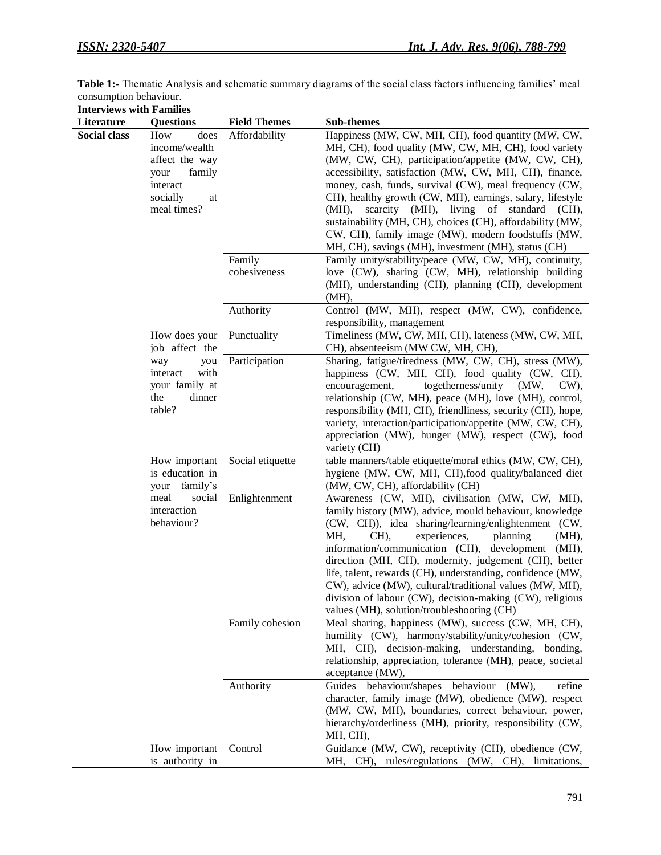| Table 1:- Thematic Analysis and schematic summary diagrams of the social class factors influencing families' meal |  |
|-------------------------------------------------------------------------------------------------------------------|--|
| consumption behaviour.                                                                                            |  |
|                                                                                                                   |  |

| <b>Interviews with Families</b> |                                                                                                               |                                         |                                                                                                                                                                                                                                                                                                                                                                                                                                                                                                                                                                                                                                                                                                                                                            |
|---------------------------------|---------------------------------------------------------------------------------------------------------------|-----------------------------------------|------------------------------------------------------------------------------------------------------------------------------------------------------------------------------------------------------------------------------------------------------------------------------------------------------------------------------------------------------------------------------------------------------------------------------------------------------------------------------------------------------------------------------------------------------------------------------------------------------------------------------------------------------------------------------------------------------------------------------------------------------------|
| Literature                      | <b>Questions</b>                                                                                              | <b>Field Themes</b>                     | Sub-themes                                                                                                                                                                                                                                                                                                                                                                                                                                                                                                                                                                                                                                                                                                                                                 |
| <b>Social class</b>             | does<br>How<br>income/wealth<br>affect the way<br>family<br>your<br>interact<br>socially<br>at<br>meal times? | Affordability<br>Family<br>cohesiveness | Happiness (MW, CW, MH, CH), food quantity (MW, CW,<br>MH, CH), food quality (MW, CW, MH, CH), food variety<br>(MW, CW, CH), participation/appetite (MW, CW, CH),<br>accessibility, satisfaction (MW, CW, MH, CH), finance,<br>money, cash, funds, survival (CW), meal frequency (CW,<br>CH), healthy growth (CW, MH), earnings, salary, lifestyle<br>scarcity (MH), living of standard<br>(MH),<br>(CH).<br>sustainability (MH, CH), choices (CH), affordability (MW,<br>CW, CH), family image (MW), modern foodstuffs (MW,<br>MH, CH), savings (MH), investment (MH), status (CH)<br>Family unity/stability/peace (MW, CW, MH), continuity,<br>love (CW), sharing (CW, MH), relationship building<br>(MH), understanding (CH), planning (CH), development |
|                                 |                                                                                                               | Authority                               | (MH),<br>Control (MW, MH), respect (MW, CW), confidence,<br>responsibility, management                                                                                                                                                                                                                                                                                                                                                                                                                                                                                                                                                                                                                                                                     |
|                                 | How does your<br>job affect the                                                                               | Punctuality                             | Timeliness (MW, CW, MH, CH), lateness (MW, CW, MH,<br>CH), absenteeism (MW CW, MH, CH),                                                                                                                                                                                                                                                                                                                                                                                                                                                                                                                                                                                                                                                                    |
|                                 | way<br>you<br>interact<br>with<br>your family at<br>dinner<br>the<br>table?                                   | Participation                           | Sharing, fatigue/tiredness (MW, CW, CH), stress (MW),<br>happiness (CW, MH, CH), food quality (CW, CH),<br>togetherness/unity (MW,<br>encouragement,<br>$CW$ ),<br>relationship (CW, MH), peace (MH), love (MH), control,<br>responsibility (MH, CH), friendliness, security (CH), hope,<br>variety, interaction/participation/appetite (MW, CW, CH),<br>appreciation (MW), hunger (MW), respect (CW), food<br>variety (CH)                                                                                                                                                                                                                                                                                                                                |
|                                 | How important<br>is education in<br>your family's                                                             | Social etiquette                        | table manners/table etiquette/moral ethics (MW, CW, CH),<br>hygiene (MW, CW, MH, CH), food quality/balanced diet<br>(MW, CW, CH), affordability (CH)                                                                                                                                                                                                                                                                                                                                                                                                                                                                                                                                                                                                       |
|                                 | meal<br>social<br>interaction<br>behaviour?                                                                   | Enlightenment                           | Awareness (CW, MH), civilisation (MW, CW, MH),<br>family history (MW), advice, mould behaviour, knowledge<br>(CW, CH)), idea sharing/learning/enlightenment (CW,<br>MH,<br>CH),<br>experiences,<br>planning<br>$(MH)$ ,<br>information/communication (CH), development (MH),<br>direction (MH, CH), modernity, judgement (CH), better<br>life, talent, rewards (CH), understanding, confidence (MW,<br>CW), advice (MW), cultural/traditional values (MW, MH),<br>division of labour (CW), decision-making (CW), religious<br>values (MH), solution/troubleshooting (CH)                                                                                                                                                                                   |
|                                 |                                                                                                               | Family cohesion                         | Meal sharing, happiness (MW), success (CW, MH, CH),<br>humility (CW), harmony/stability/unity/cohesion (CW,<br>MH, CH), decision-making, understanding, bonding,<br>relationship, appreciation, tolerance (MH), peace, societal<br>acceptance (MW),                                                                                                                                                                                                                                                                                                                                                                                                                                                                                                        |
|                                 |                                                                                                               | Authority                               | Guides behaviour/shapes behaviour (MW),<br>refine<br>character, family image (MW), obedience (MW), respect<br>(MW, CW, MH), boundaries, correct behaviour, power,<br>hierarchy/orderliness (MH), priority, responsibility (CW,<br>MH, CH),                                                                                                                                                                                                                                                                                                                                                                                                                                                                                                                 |
|                                 | How important<br>is authority in                                                                              | Control                                 | Guidance (MW, CW), receptivity (CH), obedience (CW,<br>MH, CH), rules/regulations (MW, CH), limitations,                                                                                                                                                                                                                                                                                                                                                                                                                                                                                                                                                                                                                                                   |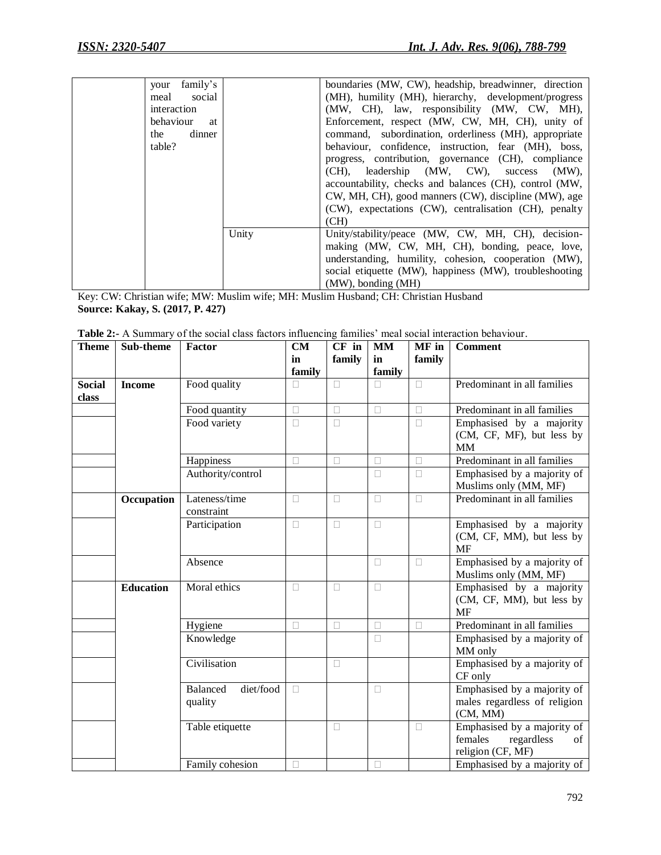| family's<br>your |       | boundaries (MW, CW), headship, breadwinner, direction  |
|------------------|-------|--------------------------------------------------------|
| social<br>meal   |       | (MH), humility (MH), hierarchy, development/progress   |
| interaction      |       | (MW, CH), law, responsibility (MW, CW, MH),            |
| behaviour<br>at  |       | Enforcement, respect (MW, CW, MH, CH), unity of        |
| dinner<br>the    |       | command, subordination, orderliness (MH), appropriate  |
| table?           |       | behaviour, confidence, instruction, fear (MH), boss,   |
|                  |       | progress, contribution, governance (CH), compliance    |
|                  |       | (CH), leadership (MW, CW), success<br>$(MW)$ ,         |
|                  |       | accountability, checks and balances (CH), control (MW, |
|                  |       | CW, MH, CH), good manners (CW), discipline (MW), age   |
|                  |       | (CW), expectations (CW), centralisation (CH), penalty  |
|                  |       | (CH)                                                   |
|                  | Unity | Unity/stability/peace (MW, CW, MH, CH), decision-      |
|                  |       | making (MW, CW, MH, CH), bonding, peace, love,         |
|                  |       | understanding, humility, cohesion, cooperation (MW),   |
|                  |       | social etiquette (MW), happiness (MW), troubleshooting |
|                  |       | (MW), bonding (MH)                                     |

Key: CW: Christian wife; MW: Muslim wife; MH: Muslim Husband; CH: Christian Husband **Source: Kakay, S. (2017, P. 427)**

| <b>Table 2:-</b> A Summary of the social class factors influencing families' meal social interaction behaviour. |                        |  |  |  |  |  |                                                                   |
|-----------------------------------------------------------------------------------------------------------------|------------------------|--|--|--|--|--|-------------------------------------------------------------------|
|                                                                                                                 | Theme Sub-theme Factor |  |  |  |  |  | $\vert$ CM $\vert$ CF in $\vert$ MM $\vert$ MF in $\vert$ Comment |

| <b>Theme</b>  | Sub-theme        | <b>Factor</b>         | CM     | CF in  | <b>MM</b> | MF in  | <b>Comment</b>               |
|---------------|------------------|-----------------------|--------|--------|-----------|--------|------------------------------|
|               |                  |                       | in     | family | in        | family |                              |
|               |                  |                       | family |        | family    |        |                              |
| <b>Social</b> | <b>Income</b>    | Food quality          | П      | $\Box$ | $\Box$    | $\Box$ | Predominant in all families  |
| class         |                  |                       |        |        |           |        |                              |
|               |                  | Food quantity         | $\Box$ | $\Box$ | $\Box$    | $\Box$ | Predominant in all families  |
|               |                  | Food variety          | $\Box$ | $\Box$ |           | $\Box$ | Emphasised by a majority     |
|               |                  |                       |        |        |           |        | (CM, CF, MF), but less by    |
|               |                  |                       |        |        |           |        | <b>MM</b>                    |
|               |                  | Happiness             | $\Box$ | $\Box$ | $\Box$    | $\Box$ | Predominant in all families  |
|               |                  | Authority/control     |        |        | П         | П      | Emphasised by a majority of  |
|               |                  |                       |        |        |           |        | Muslims only (MM, MF)        |
|               | Occupation       | Lateness/time         | $\Box$ | $\Box$ | $\Box$    | $\Box$ | Predominant in all families  |
|               |                  | constraint            |        |        |           |        |                              |
|               |                  | Participation         | $\Box$ | $\Box$ | $\Box$    |        | Emphasised by a majority     |
|               |                  |                       |        |        |           |        | (CM, CF, MM), but less by    |
|               |                  |                       |        |        |           |        | <b>MF</b>                    |
|               |                  | Absence               |        |        | $\Box$    | П      | Emphasised by a majority of  |
|               |                  |                       |        |        |           |        | Muslims only (MM, MF)        |
|               | <b>Education</b> | Moral ethics          | $\Box$ | $\Box$ | $\Box$    |        | Emphasised by a majority     |
|               |                  |                       |        |        |           |        | (CM, CF, MM), but less by    |
|               |                  |                       |        |        |           |        | <b>MF</b>                    |
|               |                  | Hygiene               | $\Box$ | $\Box$ | $\Box$    | П      | Predominant in all families  |
|               |                  | Knowledge             |        |        | $\Box$    |        | Emphasised by a majority of  |
|               |                  |                       |        |        |           |        | MM only                      |
|               |                  | Civilisation          |        | $\Box$ |           |        | Emphasised by a majority of  |
|               |                  |                       |        |        |           |        | CF only                      |
|               |                  | Balanced<br>diet/food | $\Box$ |        | $\Box$    |        | Emphasised by a majority of  |
|               |                  | quality               |        |        |           |        | males regardless of religion |
|               |                  |                       |        |        |           |        | (CM, MM)                     |
|               |                  | Table etiquette       |        | $\Box$ |           | $\Box$ | Emphasised by a majority of  |
|               |                  |                       |        |        |           |        | females<br>regardless<br>of  |
|               |                  |                       |        |        |           |        | religion (CF, MF)            |
|               |                  | Family cohesion       | П      |        | П         |        | Emphasised by a majority of  |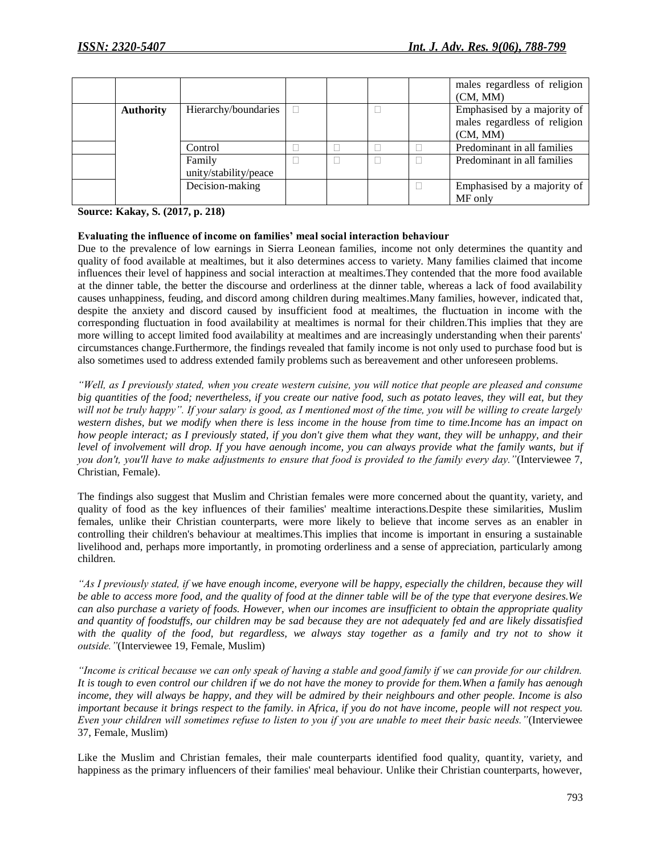|                  |                       |  |  | males regardless of religion |
|------------------|-----------------------|--|--|------------------------------|
|                  |                       |  |  | (CM, MM)                     |
| <b>Authority</b> | Hierarchy/boundaries  |  |  | Emphasised by a majority of  |
|                  |                       |  |  | males regardless of religion |
|                  |                       |  |  | (CM, MM)                     |
|                  | Control               |  |  | Predominant in all families  |
|                  | Family                |  |  | Predominant in all families  |
|                  | unity/stability/peace |  |  |                              |
|                  | Decision-making       |  |  | Emphasised by a majority of  |
|                  |                       |  |  | MF only                      |

**Source: Kakay, S. (2017, p. 218)**

#### **Evaluating the influence of income on families' meal social interaction behaviour**

Due to the prevalence of low earnings in Sierra Leonean families, income not only determines the quantity and quality of food available at mealtimes, but it also determines access to variety. Many families claimed that income influences their level of happiness and social interaction at mealtimes.They contended that the more food available at the dinner table, the better the discourse and orderliness at the dinner table, whereas a lack of food availability causes unhappiness, feuding, and discord among children during mealtimes.Many families, however, indicated that, despite the anxiety and discord caused by insufficient food at mealtimes, the fluctuation in income with the corresponding fluctuation in food availability at mealtimes is normal for their children.This implies that they are more willing to accept limited food availability at mealtimes and are increasingly understanding when their parents' circumstances change.Furthermore, the findings revealed that family income is not only used to purchase food but is also sometimes used to address extended family problems such as bereavement and other unforeseen problems.

*"Well, as I previously stated, when you create western cuisine, you will notice that people are pleased and consume big quantities of the food; nevertheless, if you create our native food, such as potato leaves, they will eat, but they will not be truly happy". If your salary is good, as I mentioned most of the time, you will be willing to create largely western dishes, but we modify when there is less income in the house from time to time.Income has an impact on how people interact; as I previously stated, if you don't give them what they want, they will be unhappy, and their level of involvement will drop. If you have aenough income, you can always provide what the family wants, but if you don't, you'll have to make adjustments to ensure that food is provided to the family every day."*(Interviewee 7, Christian, Female).

The findings also suggest that Muslim and Christian females were more concerned about the quantity, variety, and quality of food as the key influences of their families' mealtime interactions.Despite these similarities, Muslim females, unlike their Christian counterparts, were more likely to believe that income serves as an enabler in controlling their children's behaviour at mealtimes.This implies that income is important in ensuring a sustainable livelihood and, perhaps more importantly, in promoting orderliness and a sense of appreciation, particularly among children.

*"As I previously stated, if we have enough income, everyone will be happy, especially the children, because they will be able to access more food, and the quality of food at the dinner table will be of the type that everyone desires.We can also purchase a variety of foods. However, when our incomes are insufficient to obtain the appropriate quality and quantity of foodstuffs, our children may be sad because they are not adequately fed and are likely dissatisfied*  with the quality of the food, but regardless, we always stay together as a family and try not to show it *outside."*(Interviewee 19, Female, Muslim)

*"Income is critical because we can only speak of having a stable and good family if we can provide for our children. It is tough to even control our children if we do not have the money to provide for them.When a family has aenough income, they will always be happy, and they will be admired by their neighbours and other people. Income is also important because it brings respect to the family. in Africa, if you do not have income, people will not respect you. Even your children will sometimes refuse to listen to you if you are unable to meet their basic needs."*(Interviewee 37, Female, Muslim)

Like the Muslim and Christian females, their male counterparts identified food quality, quantity, variety, and happiness as the primary influencers of their families' meal behaviour. Unlike their Christian counterparts, however,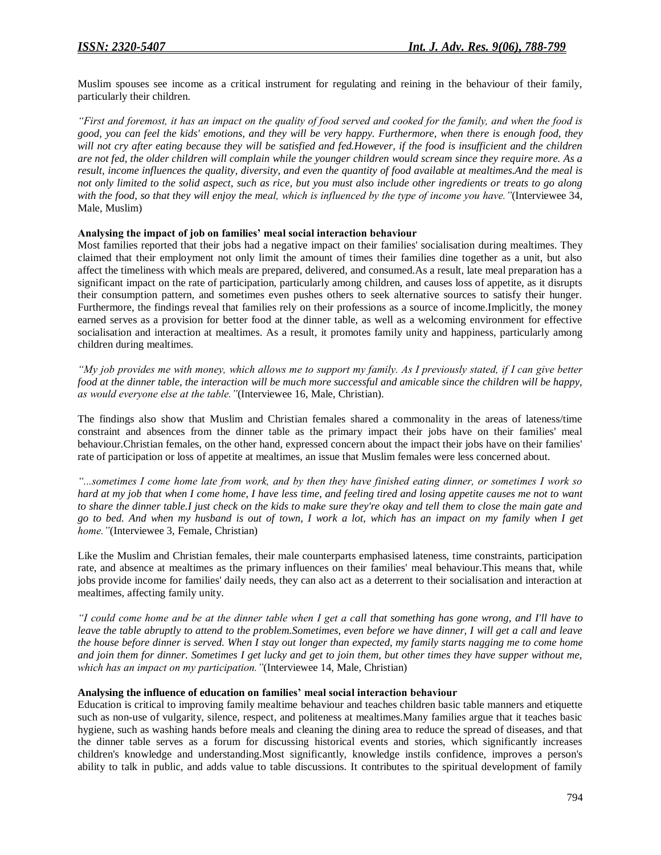Muslim spouses see income as a critical instrument for regulating and reining in the behaviour of their family, particularly their children.

*"First and foremost, it has an impact on the quality of food served and cooked for the family, and when the food is good, you can feel the kids' emotions, and they will be very happy. Furthermore, when there is enough food, they will not cry after eating because they will be satisfied and fed.However, if the food is insufficient and the children are not fed, the older children will complain while the younger children would scream since they require more. As a result, income influences the quality, diversity, and even the quantity of food available at mealtimes.And the meal is not only limited to the solid aspect, such as rice, but you must also include other ingredients or treats to go along with the food, so that they will enjoy the meal, which is influenced by the type of income you have."*(Interviewee 34, Male, Muslim)

#### **Analysing the impact of job on families' meal social interaction behaviour**

Most families reported that their jobs had a negative impact on their families' socialisation during mealtimes. They claimed that their employment not only limit the amount of times their families dine together as a unit, but also affect the timeliness with which meals are prepared, delivered, and consumed.As a result, late meal preparation has a significant impact on the rate of participation, particularly among children, and causes loss of appetite, as it disrupts their consumption pattern, and sometimes even pushes others to seek alternative sources to satisfy their hunger. Furthermore, the findings reveal that families rely on their professions as a source of income.Implicitly, the money earned serves as a provision for better food at the dinner table, as well as a welcoming environment for effective socialisation and interaction at mealtimes. As a result, it promotes family unity and happiness, particularly among children during mealtimes.

*"My job provides me with money, which allows me to support my family. As I previously stated, if I can give better food at the dinner table, the interaction will be much more successful and amicable since the children will be happy, as would everyone else at the table."*(Interviewee 16, Male, Christian).

The findings also show that Muslim and Christian females shared a commonality in the areas of lateness/time constraint and absences from the dinner table as the primary impact their jobs have on their families' meal behaviour.Christian females, on the other hand, expressed concern about the impact their jobs have on their families' rate of participation or loss of appetite at mealtimes, an issue that Muslim females were less concerned about.

*"...sometimes I come home late from work, and by then they have finished eating dinner, or sometimes I work so hard at my job that when I come home, I have less time, and feeling tired and losing appetite causes me not to want to share the dinner table.I just check on the kids to make sure they're okay and tell them to close the main gate and go to bed. And when my husband is out of town, I work a lot, which has an impact on my family when I get home."*(Interviewee 3, Female, Christian)

Like the Muslim and Christian females, their male counterparts emphasised lateness, time constraints, participation rate, and absence at mealtimes as the primary influences on their families' meal behaviour.This means that, while jobs provide income for families' daily needs, they can also act as a deterrent to their socialisation and interaction at mealtimes, affecting family unity.

*"I could come home and be at the dinner table when I get a call that something has gone wrong, and I'll have to leave the table abruptly to attend to the problem. Sometimes, even before we have dinner, I will get a call and leave the house before dinner is served. When I stay out longer than expected, my family starts nagging me to come home and join them for dinner. Sometimes I get lucky and get to join them, but other times they have supper without me, which has an impact on my participation."*(Interviewee 14, Male, Christian)

#### **Analysing the influence of education on families' meal social interaction behaviour**

Education is critical to improving family mealtime behaviour and teaches children basic table manners and etiquette such as non-use of vulgarity, silence, respect, and politeness at mealtimes.Many families argue that it teaches basic hygiene, such as washing hands before meals and cleaning the dining area to reduce the spread of diseases, and that the dinner table serves as a forum for discussing historical events and stories, which significantly increases children's knowledge and understanding.Most significantly, knowledge instils confidence, improves a person's ability to talk in public, and adds value to table discussions. It contributes to the spiritual development of family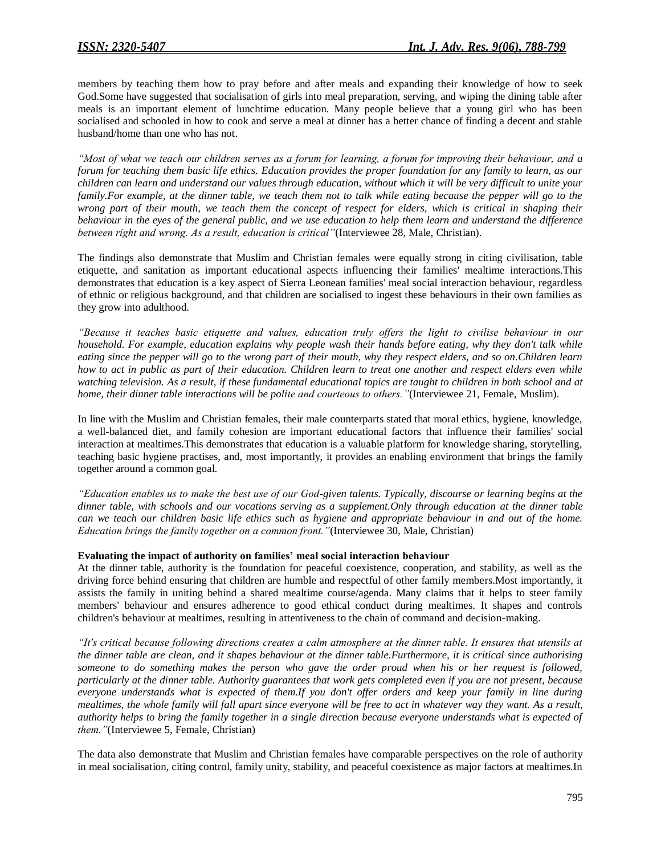members by teaching them how to pray before and after meals and expanding their knowledge of how to seek God.Some have suggested that socialisation of girls into meal preparation, serving, and wiping the dining table after meals is an important element of lunchtime education. Many people believe that a young girl who has been socialised and schooled in how to cook and serve a meal at dinner has a better chance of finding a decent and stable husband/home than one who has not.

*"Most of what we teach our children serves as a forum for learning, a forum for improving their behaviour, and a forum for teaching them basic life ethics. Education provides the proper foundation for any family to learn, as our children can learn and understand our values through education, without which it will be very difficult to unite your family.For example, at the dinner table, we teach them not to talk while eating because the pepper will go to the wrong part of their mouth, we teach them the concept of respect for elders, which is critical in shaping their behaviour in the eyes of the general public, and we use education to help them learn and understand the difference between right and wrong. As a result, education is critical"*(Interviewee 28, Male, Christian).

The findings also demonstrate that Muslim and Christian females were equally strong in citing civilisation, table etiquette, and sanitation as important educational aspects influencing their families' mealtime interactions.This demonstrates that education is a key aspect of Sierra Leonean families' meal social interaction behaviour, regardless of ethnic or religious background, and that children are socialised to ingest these behaviours in their own families as they grow into adulthood.

*"Because it teaches basic etiquette and values, education truly offers the light to civilise behaviour in our household. For example, education explains why people wash their hands before eating, why they don't talk while eating since the pepper will go to the wrong part of their mouth, why they respect elders, and so on.Children learn how to act in public as part of their education. Children learn to treat one another and respect elders even while watching television. As a result, if these fundamental educational topics are taught to children in both school and at home, their dinner table interactions will be polite and courteous to others."*(Interviewee 21, Female, Muslim).

In line with the Muslim and Christian females, their male counterparts stated that moral ethics, hygiene, knowledge, a well-balanced diet, and family cohesion are important educational factors that influence their families' social interaction at mealtimes.This demonstrates that education is a valuable platform for knowledge sharing, storytelling, teaching basic hygiene practises, and, most importantly, it provides an enabling environment that brings the family together around a common goal.

*"Education enables us to make the best use of our God-given talents. Typically, discourse or learning begins at the dinner table, with schools and our vocations serving as a supplement.Only through education at the dinner table can we teach our children basic life ethics such as hygiene and appropriate behaviour in and out of the home. Education brings the family together on a common front."*(Interviewee 30, Male, Christian)

# **Evaluating the impact of authority on families' meal social interaction behaviour**

At the dinner table, authority is the foundation for peaceful coexistence, cooperation, and stability, as well as the driving force behind ensuring that children are humble and respectful of other family members.Most importantly, it assists the family in uniting behind a shared mealtime course/agenda. Many claims that it helps to steer family members' behaviour and ensures adherence to good ethical conduct during mealtimes. It shapes and controls children's behaviour at mealtimes, resulting in attentiveness to the chain of command and decision-making.

*"It's critical because following directions creates a calm atmosphere at the dinner table. It ensures that utensils at the dinner table are clean, and it shapes behaviour at the dinner table.Furthermore, it is critical since authorising someone to do something makes the person who gave the order proud when his or her request is followed, particularly at the dinner table. Authority guarantees that work gets completed even if you are not present, because everyone understands what is expected of them.If you don't offer orders and keep your family in line during mealtimes, the whole family will fall apart since everyone will be free to act in whatever way they want. As a result, authority helps to bring the family together in a single direction because everyone understands what is expected of them."*(Interviewee 5, Female, Christian)

The data also demonstrate that Muslim and Christian females have comparable perspectives on the role of authority in meal socialisation, citing control, family unity, stability, and peaceful coexistence as major factors at mealtimes.In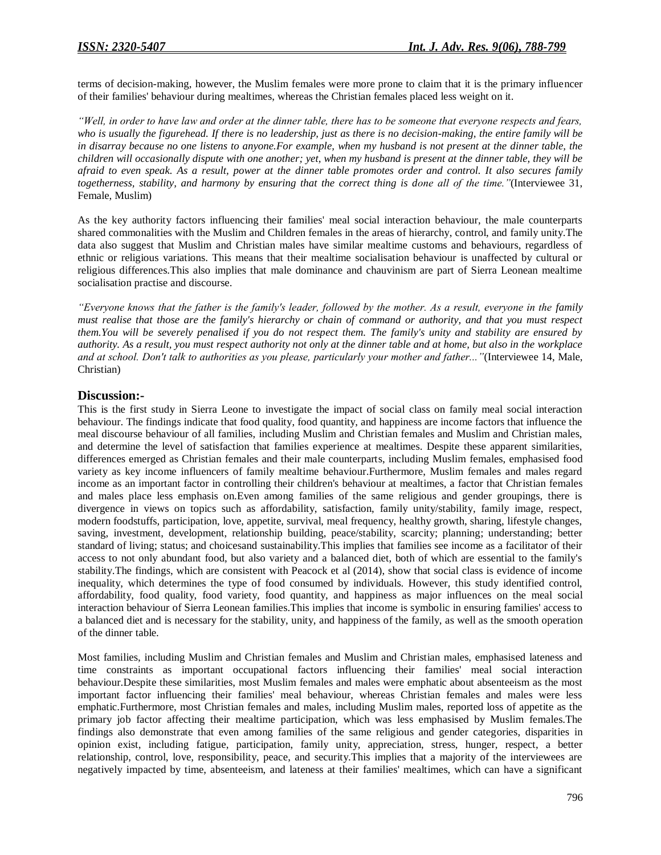terms of decision-making, however, the Muslim females were more prone to claim that it is the primary influencer of their families' behaviour during mealtimes, whereas the Christian females placed less weight on it.

*"Well, in order to have law and order at the dinner table, there has to be someone that everyone respects and fears, who is usually the figurehead. If there is no leadership, just as there is no decision-making, the entire family will be in disarray because no one listens to anyone.For example, when my husband is not present at the dinner table, the children will occasionally dispute with one another; yet, when my husband is present at the dinner table, they will be afraid to even speak. As a result, power at the dinner table promotes order and control. It also secures family togetherness, stability, and harmony by ensuring that the correct thing is done all of the time."*(Interviewee 31, Female, Muslim)

As the key authority factors influencing their families' meal social interaction behaviour, the male counterparts shared commonalities with the Muslim and Children females in the areas of hierarchy, control, and family unity.The data also suggest that Muslim and Christian males have similar mealtime customs and behaviours, regardless of ethnic or religious variations. This means that their mealtime socialisation behaviour is unaffected by cultural or religious differences.This also implies that male dominance and chauvinism are part of Sierra Leonean mealtime socialisation practise and discourse.

*"Everyone knows that the father is the family's leader, followed by the mother. As a result, everyone in the family must realise that those are the family's hierarchy or chain of command or authority, and that you must respect them.You will be severely penalised if you do not respect them. The family's unity and stability are ensured by authority. As a result, you must respect authority not only at the dinner table and at home, but also in the workplace and at school. Don't talk to authorities as you please, particularly your mother and father..."*(Interviewee 14, Male, Christian)

# **Discussion:-**

This is the first study in Sierra Leone to investigate the impact of social class on family meal social interaction behaviour. The findings indicate that food quality, food quantity, and happiness are income factors that influence the meal discourse behaviour of all families, including Muslim and Christian females and Muslim and Christian males, and determine the level of satisfaction that families experience at mealtimes. Despite these apparent similarities, differences emerged as Christian females and their male counterparts, including Muslim females, emphasised food variety as key income influencers of family mealtime behaviour.Furthermore, Muslim females and males regard income as an important factor in controlling their children's behaviour at mealtimes, a factor that Christian females and males place less emphasis on.Even among families of the same religious and gender groupings, there is divergence in views on topics such as affordability, satisfaction, family unity/stability, family image, respect, modern foodstuffs, participation, love, appetite, survival, meal frequency, healthy growth, sharing, lifestyle changes, saving, investment, development, relationship building, peace/stability, scarcity; planning; understanding; better standard of living; status; and choicesand sustainability.This implies that families see income as a facilitator of their access to not only abundant food, but also variety and a balanced diet, both of which are essential to the family's stability.The findings, which are consistent with Peacock et al (2014), show that social class is evidence of income inequality, which determines the type of food consumed by individuals. However, this study identified control, affordability, food quality, food variety, food quantity, and happiness as major influences on the meal social interaction behaviour of Sierra Leonean families.This implies that income is symbolic in ensuring families' access to a balanced diet and is necessary for the stability, unity, and happiness of the family, as well as the smooth operation of the dinner table.

Most families, including Muslim and Christian females and Muslim and Christian males, emphasised lateness and time constraints as important occupational factors influencing their families' meal social interaction behaviour.Despite these similarities, most Muslim females and males were emphatic about absenteeism as the most important factor influencing their families' meal behaviour, whereas Christian females and males were less emphatic.Furthermore, most Christian females and males, including Muslim males, reported loss of appetite as the primary job factor affecting their mealtime participation, which was less emphasised by Muslim females.The findings also demonstrate that even among families of the same religious and gender categories, disparities in opinion exist, including fatigue, participation, family unity, appreciation, stress, hunger, respect, a better relationship, control, love, responsibility, peace, and security.This implies that a majority of the interviewees are negatively impacted by time, absenteeism, and lateness at their families' mealtimes, which can have a significant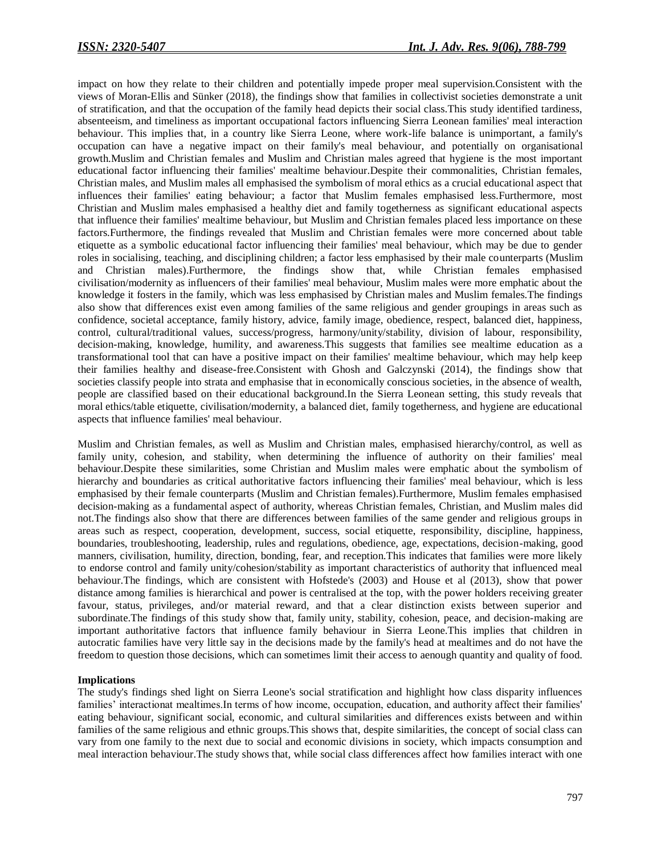impact on how they relate to their children and potentially impede proper meal supervision.Consistent with the views of Moran-Ellis and Sünker (2018), the findings show that families in collectivist societies demonstrate a unit of stratification, and that the occupation of the family head depicts their social class.This study identified tardiness, absenteeism, and timeliness as important occupational factors influencing Sierra Leonean families' meal interaction behaviour. This implies that, in a country like Sierra Leone, where work-life balance is unimportant, a family's occupation can have a negative impact on their family's meal behaviour, and potentially on organisational growth.Muslim and Christian females and Muslim and Christian males agreed that hygiene is the most important educational factor influencing their families' mealtime behaviour.Despite their commonalities, Christian females, Christian males, and Muslim males all emphasised the symbolism of moral ethics as a crucial educational aspect that influences their families' eating behaviour; a factor that Muslim females emphasised less.Furthermore, most Christian and Muslim males emphasised a healthy diet and family togetherness as significant educational aspects that influence their families' mealtime behaviour, but Muslim and Christian females placed less importance on these factors.Furthermore, the findings revealed that Muslim and Christian females were more concerned about table etiquette as a symbolic educational factor influencing their families' meal behaviour, which may be due to gender roles in socialising, teaching, and disciplining children; a factor less emphasised by their male counterparts (Muslim and Christian males).Furthermore, the findings show that, while Christian females emphasised civilisation/modernity as influencers of their families' meal behaviour, Muslim males were more emphatic about the knowledge it fosters in the family, which was less emphasised by Christian males and Muslim females.The findings also show that differences exist even among families of the same religious and gender groupings in areas such as confidence, societal acceptance, family history, advice, family image, obedience, respect, balanced diet, happiness, control, cultural/traditional values, success/progress, harmony/unity/stability, division of labour, responsibility, decision-making, knowledge, humility, and awareness.This suggests that families see mealtime education as a transformational tool that can have a positive impact on their families' mealtime behaviour, which may help keep their families healthy and disease-free.Consistent with Ghosh and Galczynski (2014), the findings show that societies classify people into strata and emphasise that in economically conscious societies, in the absence of wealth, people are classified based on their educational background.In the Sierra Leonean setting, this study reveals that moral ethics/table etiquette, civilisation/modernity, a balanced diet, family togetherness, and hygiene are educational aspects that influence families' meal behaviour.

Muslim and Christian females, as well as Muslim and Christian males, emphasised hierarchy/control, as well as family unity, cohesion, and stability, when determining the influence of authority on their families' meal behaviour.Despite these similarities, some Christian and Muslim males were emphatic about the symbolism of hierarchy and boundaries as critical authoritative factors influencing their families' meal behaviour, which is less emphasised by their female counterparts (Muslim and Christian females).Furthermore, Muslim females emphasised decision-making as a fundamental aspect of authority, whereas Christian females, Christian, and Muslim males did not.The findings also show that there are differences between families of the same gender and religious groups in areas such as respect, cooperation, development, success, social etiquette, responsibility, discipline, happiness, boundaries, troubleshooting, leadership, rules and regulations, obedience, age, expectations, decision-making, good manners, civilisation, humility, direction, bonding, fear, and reception.This indicates that families were more likely to endorse control and family unity/cohesion/stability as important characteristics of authority that influenced meal behaviour.The findings, which are consistent with Hofstede's (2003) and House et al (2013), show that power distance among families is hierarchical and power is centralised at the top, with the power holders receiving greater favour, status, privileges, and/or material reward, and that a clear distinction exists between superior and subordinate.The findings of this study show that, family unity, stability, cohesion, peace, and decision-making are important authoritative factors that influence family behaviour in Sierra Leone.This implies that children in autocratic families have very little say in the decisions made by the family's head at mealtimes and do not have the freedom to question those decisions, which can sometimes limit their access to aenough quantity and quality of food.

#### **Implications**

The study's findings shed light on Sierra Leone's social stratification and highlight how class disparity influences families' interactionat mealtimes.In terms of how income, occupation, education, and authority affect their families' eating behaviour, significant social, economic, and cultural similarities and differences exists between and within families of the same religious and ethnic groups.This shows that, despite similarities, the concept of social class can vary from one family to the next due to social and economic divisions in society, which impacts consumption and meal interaction behaviour.The study shows that, while social class differences affect how families interact with one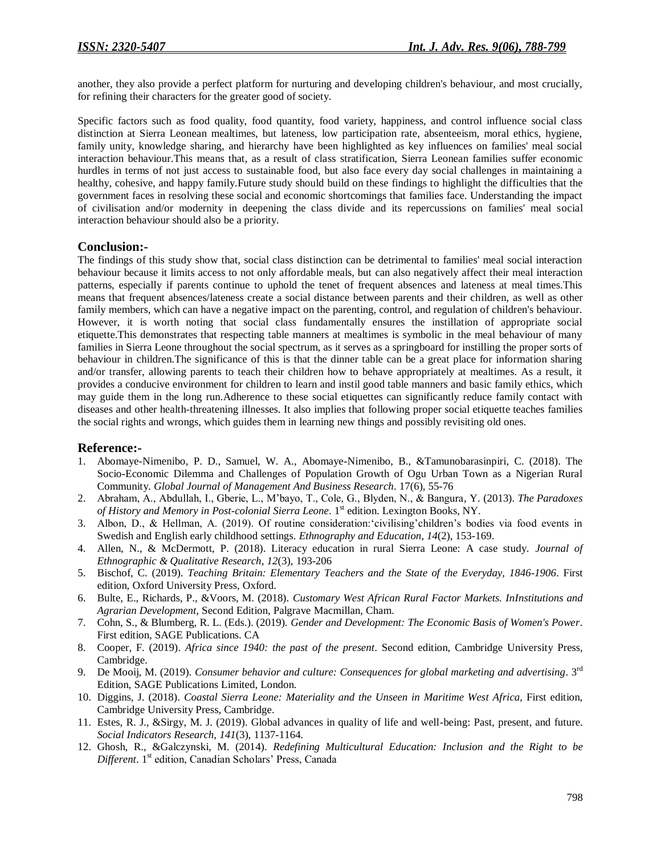another, they also provide a perfect platform for nurturing and developing children's behaviour, and most crucially, for refining their characters for the greater good of society.

Specific factors such as food quality, food quantity, food variety, happiness, and control influence social class distinction at Sierra Leonean mealtimes, but lateness, low participation rate, absenteeism, moral ethics, hygiene, family unity, knowledge sharing, and hierarchy have been highlighted as key influences on families' meal social interaction behaviour.This means that, as a result of class stratification, Sierra Leonean families suffer economic hurdles in terms of not just access to sustainable food, but also face every day social challenges in maintaining a healthy, cohesive, and happy family.Future study should build on these findings to highlight the difficulties that the government faces in resolving these social and economic shortcomings that families face. Understanding the impact of civilisation and/or modernity in deepening the class divide and its repercussions on families' meal social interaction behaviour should also be a priority.

# **Conclusion:-**

The findings of this study show that, social class distinction can be detrimental to families' meal social interaction behaviour because it limits access to not only affordable meals, but can also negatively affect their meal interaction patterns, especially if parents continue to uphold the tenet of frequent absences and lateness at meal times.This means that frequent absences/lateness create a social distance between parents and their children, as well as other family members, which can have a negative impact on the parenting, control, and regulation of children's behaviour. However, it is worth noting that social class fundamentally ensures the instillation of appropriate social etiquette.This demonstrates that respecting table manners at mealtimes is symbolic in the meal behaviour of many families in Sierra Leone throughout the social spectrum, as it serves as a springboard for instilling the proper sorts of behaviour in children.The significance of this is that the dinner table can be a great place for information sharing and/or transfer, allowing parents to teach their children how to behave appropriately at mealtimes. As a result, it provides a conducive environment for children to learn and instil good table manners and basic family ethics, which may guide them in the long run.Adherence to these social etiquettes can significantly reduce family contact with diseases and other health-threatening illnesses. It also implies that following proper social etiquette teaches families the social rights and wrongs, which guides them in learning new things and possibly revisiting old ones.

# **Reference:-**

- 1. Abomaye-Nimenibo, P. D., Samuel, W. A., Abomaye-Nimenibo, B., &Tamunobarasinpiri, C. (2018). The Socio-Economic Dilemma and Challenges of Population Growth of Ogu Urban Town as a Nigerian Rural Community. *Global Journal of Management And Business Research*. 17(6), 55-76
- 2. Abraham, A., Abdullah, I., Gberie, L., M'bayo, T., Cole, G., Blyden, N., & Bangura, Y. (2013). *The Paradoxes*  of History and Memory in Post-colonial Sierra Leone. 1<sup>st</sup> edition. Lexington Books, NY.
- 3. Albon, D., & Hellman, A. (2019). Of routine consideration:'civilising'children's bodies via food events in Swedish and English early childhood settings. *Ethnography and Education*, *14*(2), 153-169.
- 4. Allen, N., & McDermott, P. (2018). Literacy education in rural Sierra Leone: A case study. *Journal of Ethnographic & Qualitative Research*, *12*(3), 193-206
- 5. Bischof, C. (2019). *Teaching Britain: Elementary Teachers and the State of the Everyday, 1846-1906*. First edition, Oxford University Press, Oxford.
- 6. Bulte, E., Richards, P., &Voors, M. (2018). *Customary West African Rural Factor Markets. InInstitutions and Agrarian Development*, Second Edition, Palgrave Macmillan, Cham.
- 7. Cohn, S., & Blumberg, R. L. (Eds.). (2019). *Gender and Development: The Economic Basis of Women's Power*. First edition, SAGE Publications. CA
- 8. Cooper, F. (2019). *Africa since 1940: the past of the present*. Second edition, Cambridge University Press, Cambridge.
- 9. De Mooij, M. (2019). *Consumer behavior and culture: Consequences for global marketing and advertising*. 3rd Edition, SAGE Publications Limited, London.
- 10. Diggins, J. (2018). *Coastal Sierra Leone: Materiality and the Unseen in Maritime West Africa,* First edition, Cambridge University Press, Cambridge.
- 11. Estes, R. J., &Sirgy, M. J. (2019). Global advances in quality of life and well-being: Past, present, and future. *Social Indicators Research*, *141*(3), 1137-1164.
- 12. Ghosh, R., &Galczynski, M. (2014). *Redefining Multicultural Education: Inclusion and the Right to be*  Different. 1<sup>st</sup> edition, Canadian Scholars' Press, Canada